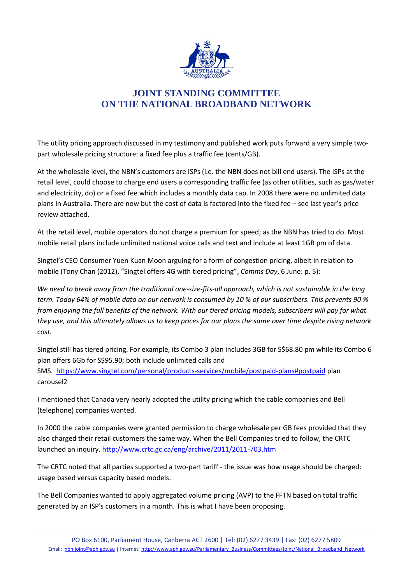

## **JOINT STANDING COMMITTEE ON THE NATIONAL BROADBAND NETWORK**

The utility pricing approach discussed in my testimony and published work puts forward a very simple twopart wholesale pricing structure: a fixed fee plus a traffic fee (cents/GB).

At the wholesale level, the NBN's customers are ISPs (i.e. the NBN does not bill end users). The ISPs at the retail level, could choose to charge end users a corresponding traffic fee (as other utilities, such as gas/water and electricity, do) or a fixed fee which includes a monthly data cap. In 2008 there were no unlimited data plans in Australia. There are now but the cost of data is factored into the fixed fee – see last year's price review attached.

At the retail level, mobile operators do not charge a premium for speed; as the NBN has tried to do. Most mobile retail plans include unlimited national voice calls and text and include at least 1GB pm of data.

Singtel's CEO Consumer Yuen Kuan Moon arguing for a form of congestion pricing, albeit in relation to mobile (Tony Chan (2012), "Singtel offers 4G with tiered pricing", *Comms Day*, 6 June: p. 5):

*We need to break away from the traditional one-size-fits-all approach, which is not sustainable in the long term. Today 64% of mobile data on our network is consumed by 10 % of our subscribers. This prevents 90 % from enjoying the full benefits of the network. With our tiered pricing models, subscribers will pay for what they use, and this ultimately allows us to keep prices for our plans the same over time despite rising network cost.* 

Singtel still has tiered pricing. For example, its Combo 3 plan includes 3GB for S\$68.80 pm while its Combo 6 plan offers 6Gb for S\$95.90; both include unlimited calls and SMS. <https://www.singtel.com/personal/products-services/mobile/postpaid-plans#postpaid> plan carousel2

I mentioned that Canada very nearly adopted the utility pricing which the cable companies and Bell (telephone) companies wanted.

In 2000 the cable companies were granted permission to charge wholesale per GB fees provided that they also charged their retail customers the same way. When the Bell Companies tried to follow, the CRTC launched an inquiry.<http://www.crtc.gc.ca/eng/archive/2011/2011-703.htm>

The CRTC noted that all parties supported a two-part tariff - the issue was how usage should be charged: usage based versus capacity based models.

The Bell Companies wanted to apply aggregated volume pricing (AVP) to the FFTN based on total traffic generated by an ISP's customers in a month. This is what I have been proposing.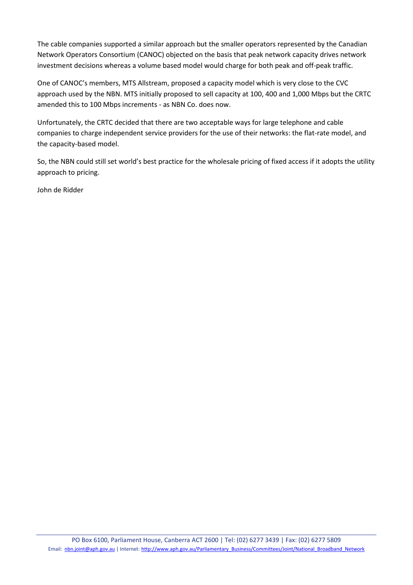The cable companies supported a similar approach but the smaller operators represented by the Canadian Network Operators Consortium (CANOC) objected on the basis that peak network capacity drives network investment decisions whereas a volume based model would charge for both peak and off-peak traffic.

One of CANOC's members, MTS Allstream, proposed a capacity model which is very close to the CVC approach used by the NBN. MTS initially proposed to sell capacity at 100, 400 and 1,000 Mbps but the CRTC amended this to 100 Mbps increments - as NBN Co. does now.

Unfortunately, the CRTC decided that there are two acceptable ways for large telephone and cable companies to charge independent service providers for the use of their networks: the flat-rate model, and the capacity-based model.

So, the NBN could still set world's best practice for the wholesale pricing of fixed access if it adopts the utility approach to pricing.

John de Ridder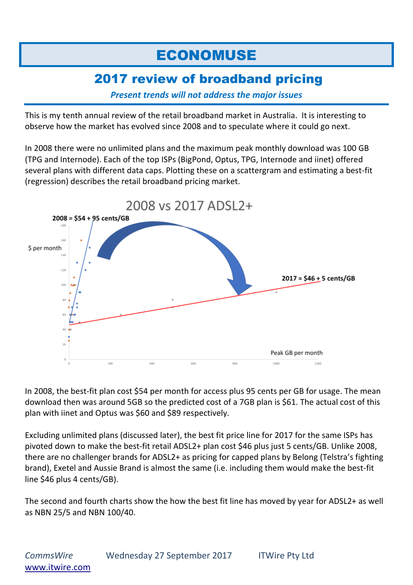## ECONOMUSE

## 2017 review of broadband pricing

*Present trends will not address the major issues*

This is my tenth annual review of the retail broadband market in Australia. It is interesting to observe how the market has evolved since 2008 and to speculate where it could go next.

In 2008 there were no unlimited plans and the maximum peak monthly download was 100 GB (TPG and Internode). Each of the top ISPs (BigPond, Optus, TPG, Internode and iinet) offered several plans with different data caps. Plotting these on a scattergram and estimating a best-fit (regression) describes the retail broadband pricing market.



In 2008, the best-fit plan cost \$54 per month for access plus 95 cents per GB for usage. The mean download then was around 5GB so the predicted cost of a 7GB plan is \$61. The actual cost of this plan with iinet and Optus was \$60 and \$89 respectively.

Excluding unlimited plans (discussed later), the best fit price line for 2017 for the same ISPs has pivoted down to make the best-fit retail ADSL2+ plan cost \$46 plus just 5 cents/GB. Unlike 2008, there are no challenger brands for ADSL2+ as pricing for capped plans by Belong (Telstra's fighting brand), Exetel and Aussie Brand is almost the same (i.e. including them would make the best-fit line \$46 plus 4 cents/GB).

The second and fourth charts show the how the best fit line has moved by year for ADSL2+ as well as NBN 25/5 and NBN 100/40.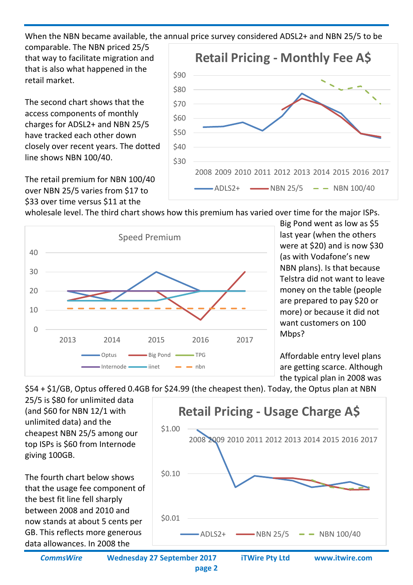When the NBN became available, the annual price survey considered ADSL2+ and NBN 25/5 to be

comparable. The NBN priced 25/5 that way to facilitate migration and that is also what happened in the retail market.

The second chart shows that the access components of monthly charges for ADSL2+ and NBN 25/5 have tracked each other down closely over recent years. The dotted line shows NBN 100/40.

The retail premium for NBN 100/40 over NBN 25/5 varies from \$17 to \$33 over time versus \$11 at the



wholesale level. The third chart shows how this premium has varied over time for the major ISPs.



Big Pond went as low as \$5 last year (when the others were at \$20) and is now \$30 (as with Vodafone's new NBN plans). Is that because Telstra did not want to leave money on the table (people are prepared to pay \$20 or more) or because it did not want customers on 100 Mbps?

Affordable entry level plans are getting scarce. Although the typical plan in 2008 was

\$54 + \$1/GB, Optus offered 0.4GB for \$24.99 (the cheapest then). Today, the Optus plan at NBN

25/5 is \$80 for unlimited data (and \$60 for NBN 12/1 with unlimited data) and the cheapest NBN 25/5 among our top ISPs is \$60 from Internode giving 100GB.

The fourth chart below shows that the usage fee component of the best fit line fell sharply between 2008 and 2010 and now stands at about 5 cents per GB. This reflects more generous data allowances. In 2008 the



*CommsWire* **Wednesday 27 September 2017 iTWire Pty Ltd www.itwire.com**